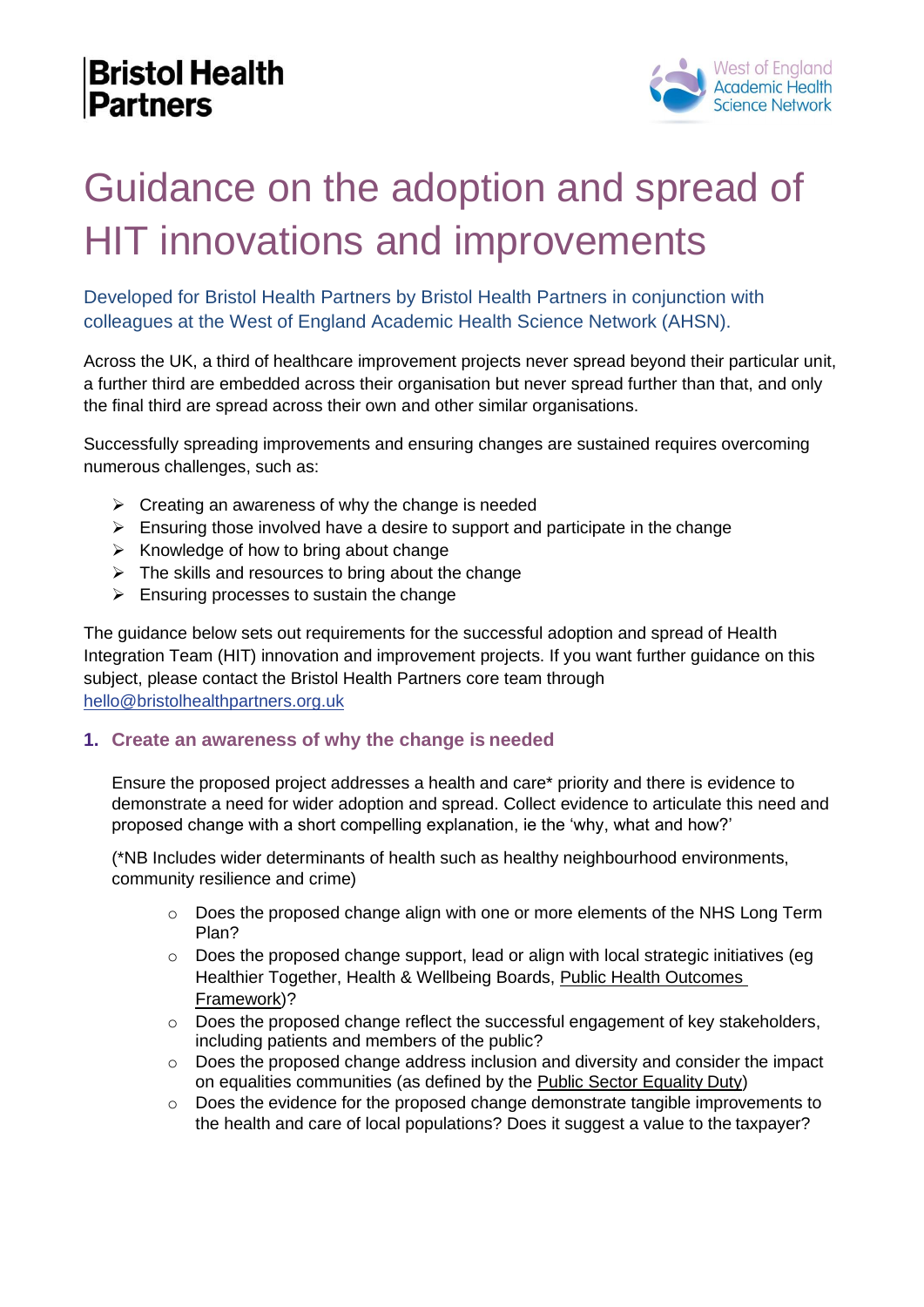

# Guidance on the adoption and spread of HIT innovations and improvements

Developed for Bristol Health Partners by Bristol Health Partners in conjunction with colleagues at the West of England Academic Health Science Network (AHSN).

Across the UK, a third of healthcare improvement projects never spread beyond their particular unit, a further third are embedded across their organisation but never spread further than that, and only the final third are spread across their own and other similar organisations.

Successfully spreading improvements and ensuring changes are sustained requires overcoming numerous challenges, such as:

- $\triangleright$  Creating an awareness of why the change is needed
- $\triangleright$  Ensuring those involved have a desire to support and participate in the change
- $\triangleright$  Knowledge of how to bring about change
- $\triangleright$  The skills and resources to bring about the change
- $\triangleright$  Ensuring processes to sustain the change

The guidance below sets out requirements for the successful adoption and spread of HeaIth Integration Team (HIT) innovation and improvement projects. If you want further guidance on this subject, please contact the Bristol Health Partners core team through [hello@bristolhealthpartners.org.uk](mailto:hello@bristolhealthpartners.org.uk)

#### **1. Create an awareness of why the change is needed**

Ensure the proposed project addresses a health and care\* priority and there is evidence to demonstrate a need for wider adoption and spread. Collect evidence to articulate this need and proposed change with a short compelling explanation, ie the 'why, what and how?'

(\*NB Includes wider determinants of health such as healthy neighbourhood environments, community resilience and crime)

- o Does the proposed change align with one or more elements of the NHS Long Term Plan?
- o Does the proposed change support, lead or align with local strategic initiatives (eg Healthier Together, Health & Wellbeing Boards, [Public Health Outcomes](https://fingertips.phe.org.uk/profile/public-health-outcomes-framework) [Framework\)](https://fingertips.phe.org.uk/profile/public-health-outcomes-framework)?
- o Does the proposed change reflect the successful engagement of key stakeholders, including patients and members of the public?
- o Does the proposed change address inclusion and diversity and consider the impact on equalities communities (as defined by the [Public Sector Equality](https://www.equalityhumanrights.com/en/advice-and-guidance/public-sector-equality-duty) Duty)
- o Does the evidence for the proposed change demonstrate tangible improvements to the health and care of local populations? Does it suggest a value to the taxpayer?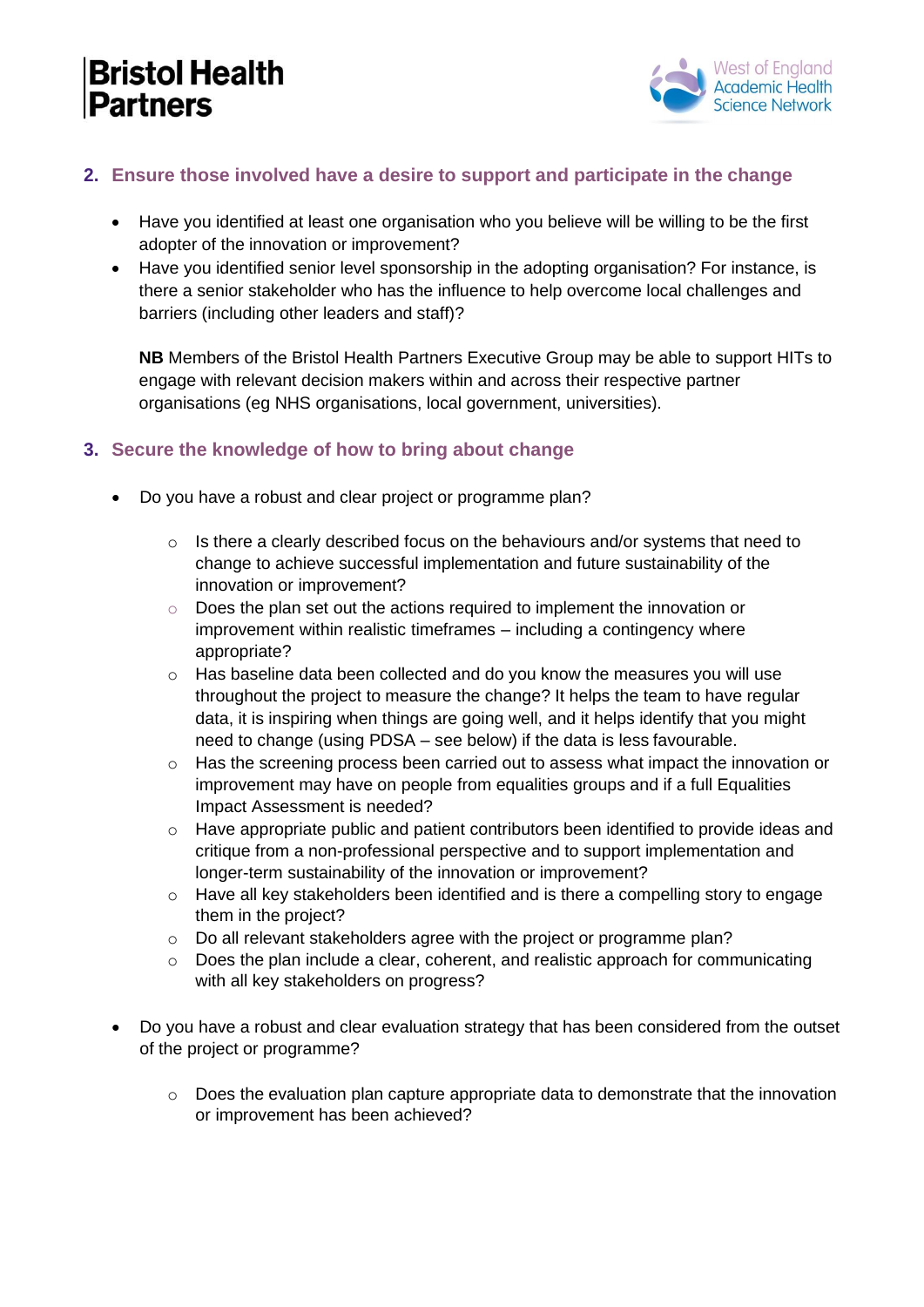

### **2. Ensure those involved have a desire to support and participate in the change**

- Have you identified at least one organisation who you believe will be willing to be the first adopter of the innovation or improvement?
- Have you identified senior level sponsorship in the adopting organisation? For instance, is there a senior stakeholder who has the influence to help overcome local challenges and barriers (including other leaders and staff)?

**NB** Members of the Bristol Health Partners Executive Group may be able to support HITs to engage with relevant decision makers within and across their respective partner organisations (eg NHS organisations, local government, universities).

#### **3. Secure the knowledge of how to bring about change**

- Do you have a robust and clear project or programme plan?
	- $\circ$  Is there a clearly described focus on the behaviours and/or systems that need to change to achieve successful implementation and future sustainability of the innovation or improvement?
	- o Does the plan set out the actions required to implement the innovation or improvement within realistic timeframes – including a contingency where appropriate?
	- $\circ$  Has baseline data been collected and do you know the measures you will use throughout the project to measure the change? It helps the team to have regular data, it is inspiring when things are going well, and it helps identify that you might need to change (using PDSA – see below) if the data is less favourable.
	- $\circ$  Has the screening process been carried out to assess what impact the innovation or improvement may have on people from equalities groups and if a full Equalities Impact Assessment is needed?
	- o Have appropriate public and patient contributors been identified to provide ideas and critique from a non-professional perspective and to support implementation and longer-term sustainability of the innovation or improvement?
	- o Have all key stakeholders been identified and is there a compelling story to engage them in the project?
	- o Do all relevant stakeholders agree with the project or programme plan?
	- o Does the plan include a clear, coherent, and realistic approach for communicating with all key stakeholders on progress?
- Do you have a robust and clear evaluation strategy that has been considered from the outset of the project or programme?
	- o Does the evaluation plan capture appropriate data to demonstrate that the innovation or improvement has been achieved?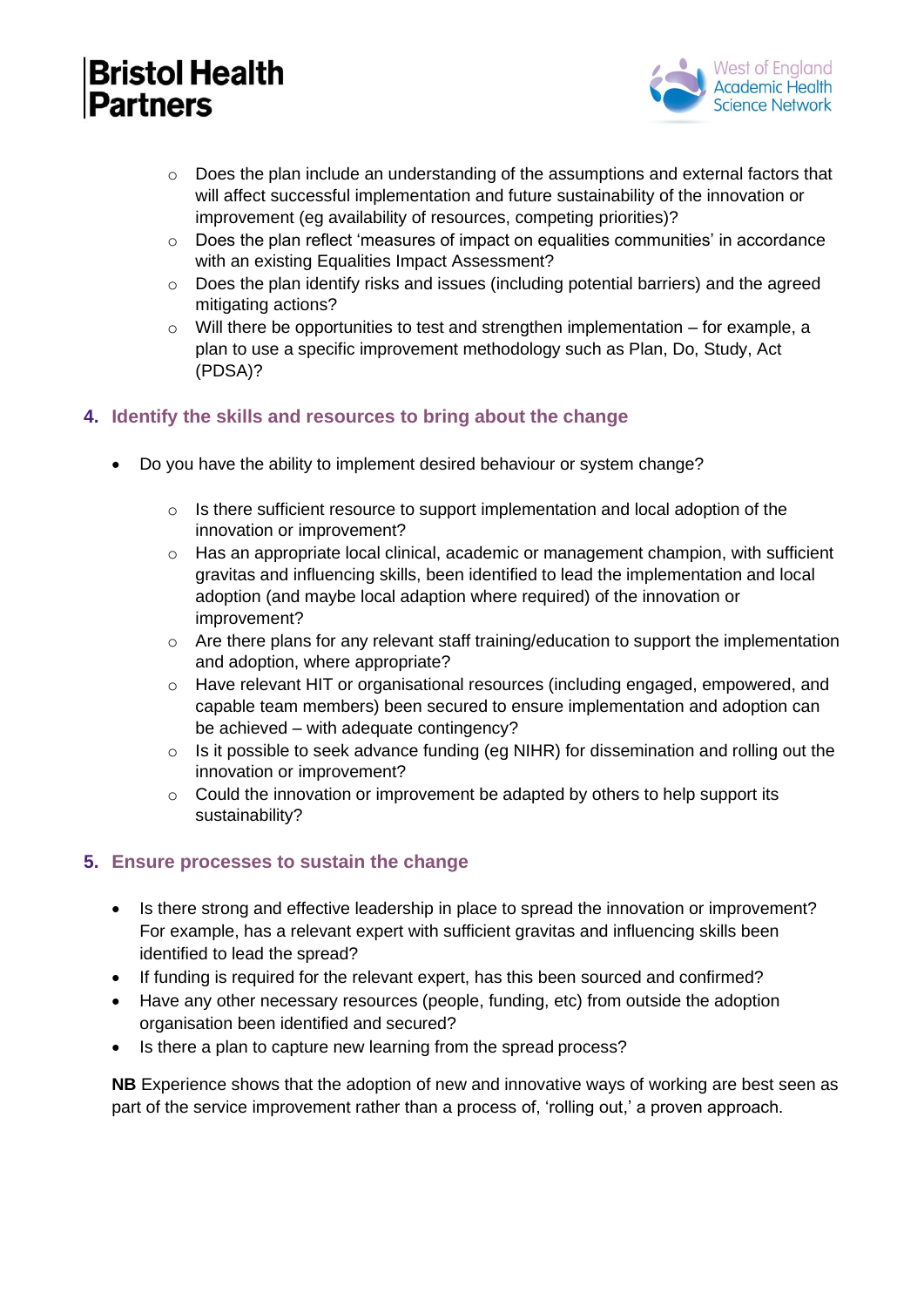

- $\circ$  Does the plan include an understanding of the assumptions and external factors that will affect successful implementation and future sustainability of the innovation or improvement (eg availability of resources, competing priorities)?
- $\circ$  Does the plan reflect 'measures of impact on equalities communities' in accordance with an existing Equalities Impact Assessment?
- o Does the plan identify risks and issues (including potential barriers) and the agreed mitigating actions?
- o Will there be opportunities to test and strengthen implementation for example, a plan to use a specific improvement methodology such as Plan, Do, Study, Act (PDSA)?

#### **4. Identify the skills and resources to bring about the change**

- Do you have the ability to implement desired behaviour or system change?
	- o Is there sufficient resource to support implementation and local adoption of the innovation or improvement?
	- $\circ$  Has an appropriate local clinical, academic or management champion, with sufficient gravitas and influencing skills, been identified to lead the implementation and local adoption (and maybe local adaption where required) of the innovation or improvement?
	- $\circ$  Are there plans for any relevant staff training/education to support the implementation and adoption, where appropriate?
	- o Have relevant HIT or organisational resources (including engaged, empowered, and capable team members) been secured to ensure implementation and adoption can be achieved – with adequate contingency?
	- o Is it possible to seek advance funding (eg NIHR) for dissemination and rolling out the innovation or improvement?
	- o Could the innovation or improvement be adapted by others to help support its sustainability?

#### **5. Ensure processes to sustain the change**

- Is there strong and effective leadership in place to spread the innovation or improvement? For example, has a relevant expert with sufficient gravitas and influencing skills been identified to lead the spread?
- If funding is required for the relevant expert, has this been sourced and confirmed?
- Have any other necessary resources (people, funding, etc) from outside the adoption organisation been identified and secured?
- Is there a plan to capture new learning from the spread process?

**NB** Experience shows that the adoption of new and innovative ways of working are best seen as part of the service improvement rather than a process of, 'rolling out,' a proven approach.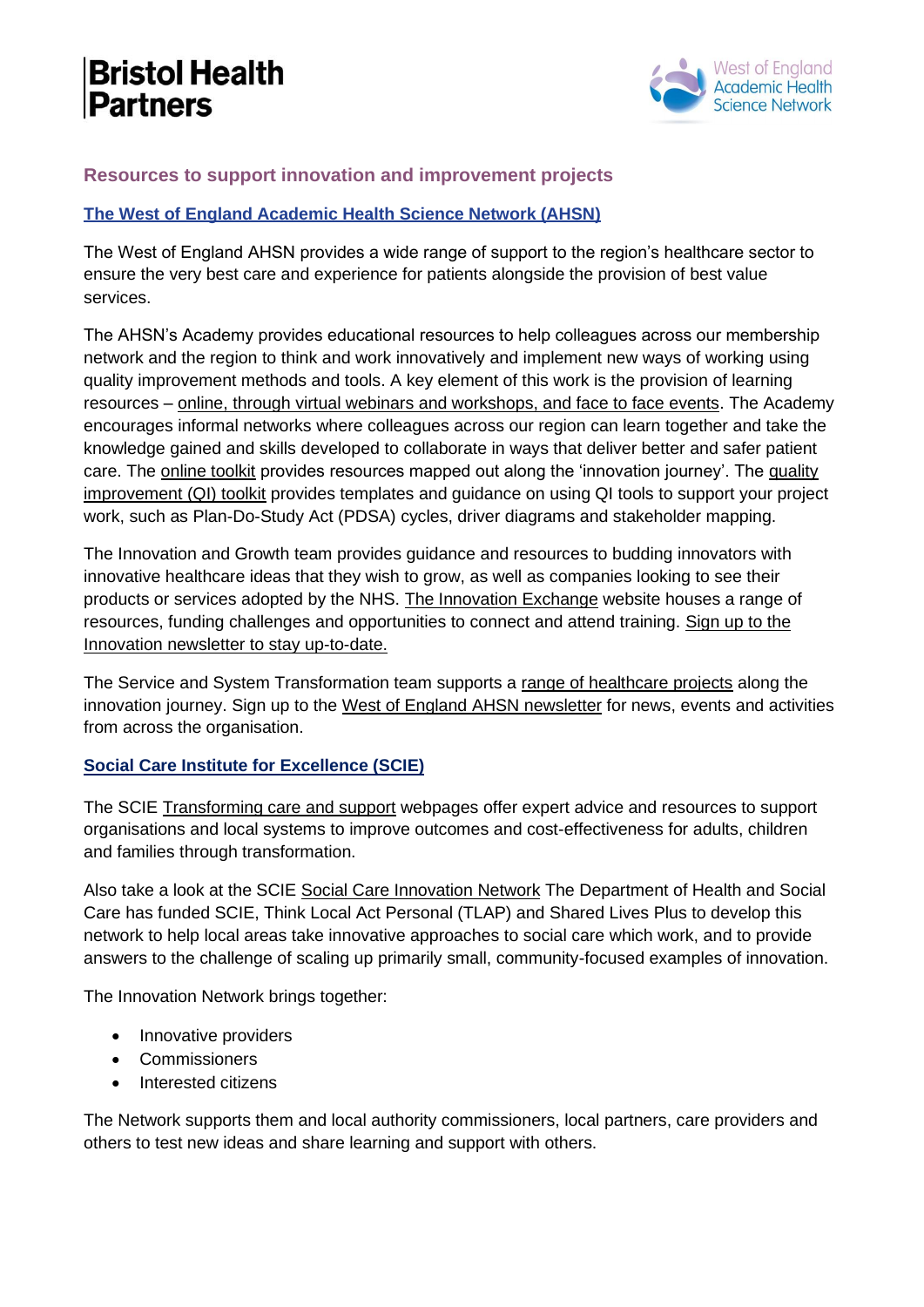

#### **Resources to support innovation and improvement projects**

#### **[The West of England Academic Health Science Network \(AHSN\)](https://www.weahsn.net/)**

The West of England AHSN provides a wide range of support to the region's healthcare sector to ensure the very best care and experience for patients alongside the provision of best value services.

The AHSN's Academy provides educational resources to help colleagues across our membership network and the region to think and work innovatively and implement new ways of working using quality improvement methods and tools. A key element of this work is the provision of learning resources – [online, through virtual webinars and workshops, and face to face events.](https://www.weahsn.net/our-work/west-of-england-academy/training-and-events/) The Academy encourages informal networks where colleagues across our region can learn together and take the knowledge gained and skills developed to collaborate in ways that deliver better and safer patient care. The [online toolkit](https://www.weahsn.net/our-work/west-of-england-academy/resources-the-innovation-journey/) provides resources mapped out along the 'innovation journey'. The [quality](https://www.weahsn.net/toolkits-and-resources/quality-improvement-tools-2/communication-and-stakeholder-engagement/) [improvement \(QI\) toolkit](https://www.weahsn.net/toolkits-and-resources/quality-improvement-tools-2/communication-and-stakeholder-engagement/) provides templates and guidance on using QI tools to support your project work, such as Plan-Do-Study Act (PDSA) cycles, driver diagrams and stakeholder mapping.

The Innovation and Growth team provides guidance and resources to budding innovators with innovative healthcare ideas that they wish to grow, as well as companies looking to see their products or services adopted by the NHS. [The Innovation Exchange](https://www.innovationexchange.co.uk/) website houses a range of resources, funding challenges and opportunities to connect and attend training. [Sign up to the](https://www.weahsn.net/news-views/newsletter-sign-up/#lifesciences) [Innovation newsletter to stay up-to-date.](https://www.weahsn.net/news-views/newsletter-sign-up/#lifesciences)

The Service and System Transformation team supports a [range of healthcare projects](https://www.weahsn.net/our-work/transforming-services-and-systems/) along the innovation journey. Sign up to the [West of England AHSN newsletter](https://www.weahsn.net/news-views/newsletter-sign-up/#weahsnnews) for news, events and activities from across the organisation.

#### **[Social Care Institute for Excellence \(SCIE\)](https://www.scie.org.uk/)**

The SCIE [Transforming care and support](https://www.scie.org.uk/transforming-care) webpages offer expert advice and resources to support organisations and local systems to improve outcomes and cost-effectiveness for adults, children and families through transformation.

Also take a look at the SCIE [Social Care Innovation Network](https://www.scie.org.uk/transforming-care/innovation/network/about) The Department of Health and Social Care has funded SCIE, Think Local Act Personal (TLAP) and Shared Lives Plus to develop this network to help local areas take innovative approaches to social care which work, and to provide answers to the challenge of scaling up primarily small, community-focused examples of innovation.

The Innovation Network brings together:

- Innovative providers
- Commissioners
- Interested citizens

The Network supports them and local authority commissioners, local partners, care providers and others to test new ideas and share learning and support with others.